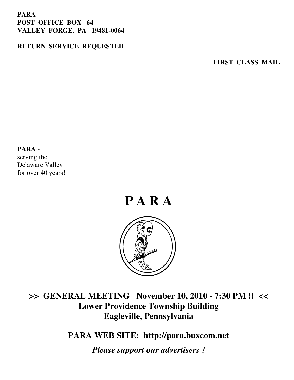### **PARA POST OFFICE BOX 64 VALLEY FORGE, PA 19481-0064**

### **RETURN SERVICE REQUESTED**

**FIRST CLASS MAIL** 

#### **PARA** -

serving the Delaware Valley for over 40 years!



## **>> GENERAL MEETING November 10, 2010 - 7:30 PM !! << Lower Providence Township Building Eagleville, Pennsylvania**

**PARA WEB SITE: http://para.buxcom.net**

*Please support our advertisers !*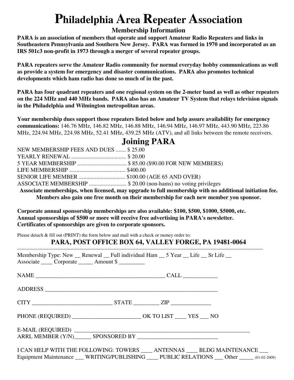# **Philadelphia Area Repeater Association**

### **Membership Information**

**PARA is an association of members that operate and support Amateur Radio Repeaters and links in Southeastern Pennsylvania and Southern New Jersey. PARA was formed in 1970 and incorporated as an IRS 501c3 non-profit in 1973 through a merger of several repeater groups.** 

**PARA repeaters serve the Amateur Radio community for normal everyday hobby communications as well as provide a system for emergency and disaster communications. PARA also promotes technical developments which ham radio has done so much of in the past.** 

**PARA has four quadrant repeaters and one regional system on the 2-meter band as well as other repeaters on the 224 MHz and 440 MHz bands. PARA also has an Amateur TV System that relays television signals in the Philadelphia and Wilmington metropolitan areas.** 

**Your membership dues support those repeaters listed below and help assure availability for emergency communications:** 146.76 MHz, 146.82 MHz, 146.88 MHz, 146.94 MHz, 146.97 MHz, 443.90 MHz, 223.86 MHz, 224.94 MHz, 224.98 MHz, 52.41 MHz, 439.25 MHz (ATV), and all links between the remote receivers.

### NEW MEMBERSHIP FEES AND DUES ....... \$ 25.00 YEARLY RENEWAL ...................................... \$ 20.00 5 YEAR MEMBERSHIP .................................. \$ 85.00 (\$90.00 FOR NEW MEMBERS) LIFE MEMBERSHIP ....................................... \$400.00 SENIOR LIFE MEMBER ................................ \$100.00 (AGE 65 AND OVER) ASSOCIATE MEMBERSHIP .......................... \$ 20.00 (non-hams) no voting privileges **Associate memberships, when licensed, may upgrade to full membership with no additional initiation fee. Members also gain one free month on their membership for each new member you sponsor.**

**Corporate annual sponsorship memberships are also available: \$100, \$500, \$1000, \$5000, etc. Annual sponsorships of \$500 or more will receive free advertising in PARA's newsletter. Certificates of sponsorships are given to corporate sponsors.** 

Please detach & fill out (PRINT) the form below and mail with a check or money order to:

### **PARA, POST OFFICE BOX 64, VALLEY FORGE, PA 19481-0064**

| Membership Type: New __ Renewal __ Full individual Ham __ 5 Year __ Life __ Sr Life __<br>Associate Corporate Amount \$ |                                                                                                                                                                                 |
|-------------------------------------------------------------------------------------------------------------------------|---------------------------------------------------------------------------------------------------------------------------------------------------------------------------------|
|                                                                                                                         |                                                                                                                                                                                 |
|                                                                                                                         |                                                                                                                                                                                 |
|                                                                                                                         |                                                                                                                                                                                 |
|                                                                                                                         |                                                                                                                                                                                 |
|                                                                                                                         |                                                                                                                                                                                 |
|                                                                                                                         | I CAN HELP WITH THE FOLLOWING: TOWERS ____ ANTENNAS ____ BLDG MAINTENANCE ___<br>Equipment Maintenance ___ WRITING/PUBLISHING ___ PUBLIC RELATIONS ___ Other _____ (01-02-2009) |

## **Joining PARA**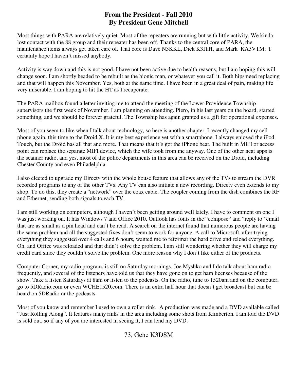### **From the President - Fall 2010 By President Gene Mitchell**

Most things with PARA are relatively quiet. Most of the repeaters are running but with little activity. We kinda lost contact with the 88 group and their repeater has been off. Thanks to the central core of PARA, the maintenance items always get taken care of. That core is Dave N3KKL, Dick K3ITH, and Mark KA3VTM. I certainly hope I haven't missed anybody.

Activity is way down and this is not good. I have not been active due to health reasons, but I am hoping this will change soon. I am shortly headed to be rebuilt as the bionic man, or whatever you call it. Both hips need replacing and that will happen this November. Yes, both at the same time. I have been in a great deal of pain, making life very miserable. I am hoping to hit the HT as I recuperate.

The PARA mailbox found a letter inviting me to attend the meeting of the Lower Providence Township supervisors the first week of November. I am planning on attending. Piero, in his last years on the board, started something, and we should be forever grateful. The Township has again granted us a gift for operational expenses.

Most of you seem to like when I talk about technology, so here is another chapter. I recently changed my cell phone again, this time to the Droid X. It is my best experience yet with a smartphone. I always enjoyed the iPod Touch, but the Droid has all that and more. That means that it's got the iPhone beat. The built in MIFI or access point can replace the separate MIFI device, which the wife took from me anyway. One of the other neat apps is the scanner radio, and yes, most of the police departments in this area can be received on the Droid, including Chester County and even Philadelphia.

I also elected to upgrade my Directv with the whole house feature that allows any of the TVs to stream the DVR recorded programs to any of the other TVs. Any TV can also initiate a new recording. Directv even extends to my shop. To do this, they create a "network" over the coax cable. The coupler coming from the dish combines the RF and Ethernet, sending both signals to each TV.

I am still working on computers, although I haven't been getting around well lately. I have to comment on one I was just working on. It has Windows 7 and Office 2010. Outlook has fonts in the "compose" and "reply to" email that are as small as a pin head and can't be read. A search on the internet found that numerous people are having the same problem and all the suggested fixes don't seem to work for anyone. A call to Microsoft, after trying everything they suggested over 4 calls and 6 hours, wanted me to reformat the hard drive and reload everything. Oh, and Office was reloaded and that didn't solve the problem. I am still wondering whether they will charge my credit card since they couldn't solve the problem. One more reason why I don't like either of the products.

Computer Corner, my radio program, is still on Saturday mornings. Joe Myshko and I do talk about ham radio frequently, and several of the listeners have told us that they have gone on to get ham licenses because of the show. Take a listen Saturdays at 8am or listen to the podcasts. On the radio, tune to 1520am and on the computer, go to 5DRadio.com or even WCHE1520.com. There is an extra half hour that doesn't get broadcast but can be heard on 5DRadio or the podcasts.

Most of you know and remember I used to own a roller rink. A production was made and a DVD available called "Just Rolling Along". It features many rinks in the area including some shots from Kimberton. I am told the DVD is sold out, so if any of you are interested in seeing it, I can lend my DVD.

73, Gene K3DSM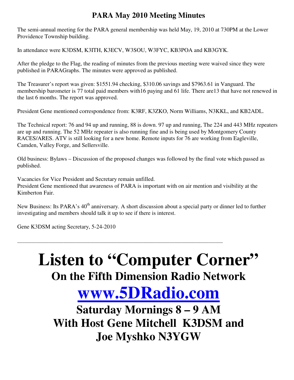## **PARA May 2010 Meeting Minutes**

The semi-annual meeting for the PARA general membership was held May, 19, 2010 at 730PM at the Lower Providence Township building.

In attendance were K3DSM, K3ITH, K3ECV, W3SOU, W3FYC, KB3POA and KB3GYK.

After the pledge to the Flag, the reading of minutes from the previous meeting were waived since they were published in PARAGraphs. The minutes were approved as published.

The Treasurer's report was given: \$1551.94 checking, \$310.06 savings and \$7963.61 in Vanguard. The membership barometer is 77 total paid members with16 paying and 61 life. There are13 that have not renewed in the last 6 months. The report was approved.

President Gene mentioned correspondence from: K3RF, K3ZKO, Norm Williams, N3KKL, and KB2ADL.

The Technical report: 76 and 94 up and running, 88 is down. 97 up and running, The 224 and 443 MHz repeaters are up and running. The 52 MHz repeater is also running fine and is being used by Montgomery County RACES/ARES. ATV is still looking for a new home. Remote inputs for 76 are working from Eagleville, Camden, Valley Forge, and Sellersville.

Old business: Bylaws – Discussion of the proposed changes was followed by the final vote which passed as published.

Vacancies for Vice President and Secretary remain unfilled. President Gene mentioned that awareness of PARA is important with on air mention and visibility at the Kimberton Fair.

New Business: Its PARA's 40<sup>th</sup> anniversary. A short discussion about a special party or dinner led to further investigating and members should talk it up to see if there is interest.

\_\_\_\_\_\_\_\_\_\_\_\_\_\_\_\_\_\_\_\_\_\_\_\_\_\_\_\_\_\_\_\_\_\_\_\_\_\_\_\_\_\_\_\_\_\_\_\_\_\_\_\_\_\_\_\_\_\_\_\_\_\_\_\_\_\_\_\_\_\_\_\_\_\_\_\_\_\_\_\_\_\_\_\_\_

Gene K3DSM acting Secretary, 5-24-2010

# Listen to "Computer Corner" **On the Fifth Dimension Radio Network**

# **www.5DRadio.com**

**Saturday Mornings 8 – 9 AM With Host Gene Mitchell K3DSM and Joe Myshko N3YGW**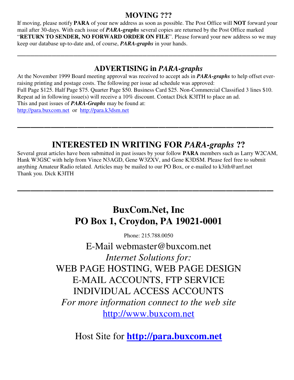## **MOVING ???**

If moving, please notify **PARA** of your new address as soon as possible. The Post Office will **NOT** forward your mail after 30-days. With each issue of *PARA-graphs* several copies are returned by the Post Office marked "**RETURN TO SENDER, NO FORWARD ORDER ON FILE**". Please forward your new address so we may keep our database up-to-date and, of course, *PARA-graphs* in your hands.

**\_\_\_\_\_\_\_\_\_\_\_\_\_\_\_\_\_\_\_\_\_\_\_\_\_\_\_\_\_\_\_\_\_\_\_\_\_\_\_\_\_\_\_\_\_\_\_\_\_\_\_\_\_\_\_\_\_\_\_\_**

## **ADVERTISING in** *PARA-graphs*

At the November 1999 Board meeting approval was received to accept ads in *PARA-graphs* to help offset everraising printing and postage costs. The following per issue ad schedule was approved: Full Page \$125. Half Page \$75. Quarter Page \$50. Business Card \$25. Non-Commercial Classified 3 lines \$10. Repeat ad in following issue(s) will receive a 10% discount. Contact Dick K3ITH to place an ad. This and past issues of *PARA-Graphs* may be found at: http://para.buxcom.net or http://para.k3dsm.net

**\_\_\_\_\_\_\_\_\_\_\_\_\_\_\_\_\_\_\_\_\_\_\_\_\_\_\_\_\_\_\_\_\_\_\_\_\_\_**

## **INTERESTED IN WRITING FOR** *PARA-graphs* **??**

Several great articles have been submitted in past issues by your follow **PARA** members such as Larry W2CAM, Hank W3GSC with help from Vince N3AGD, Gene W3ZXV, and Gene K3DSM. Please feel free to submit anything Amateur Radio related. Articles may be mailed to our PO Box, or e-mailed to k3ith@arrl.net Thank you. Dick K3ITH

**\_\_\_\_\_\_\_\_\_\_\_\_\_\_\_\_\_\_\_\_\_\_\_\_\_\_\_\_\_\_\_\_\_\_\_\_\_\_** 

## **BuxCom.Net, Inc PO Box 1, Croydon, PA 19021-0001**

Phone: 215.788.0050

E-Mail webmaster@buxcom.net *Internet Solutions for:* WEB PAGE HOSTING, WEB PAGE DESIGN E-MAIL ACCOUNTS, FTP SERVICE INDIVIDUAL ACCESS ACCOUNTS *For more information connect to the web site*  http://www.buxcom.net

Host Site for **http://para.buxcom.net**